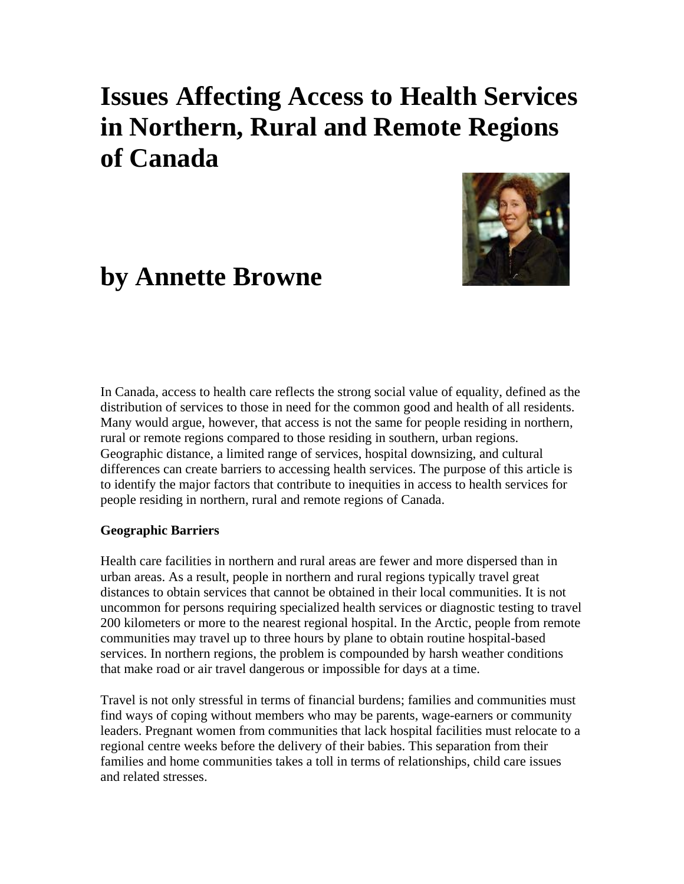# **Issues Affecting Access to Health Services in Northern, Rural and Remote Regions of Canada**



# **by Annette Browne**

In Canada, access to health care reflects the strong social value of equality, defined as the distribution of services to those in need for the common good and health of all residents. Many would argue, however, that access is not the same for people residing in northern, rural or remote regions compared to those residing in southern, urban regions. Geographic distance, a limited range of services, hospital downsizing, and cultural differences can create barriers to accessing health services. The purpose of this article is to identify the major factors that contribute to inequities in access to health services for people residing in northern, rural and remote regions of Canada.

#### **Geographic Barriers**

Health care facilities in northern and rural areas are fewer and more dispersed than in urban areas. As a result, people in northern and rural regions typically travel great distances to obtain services that cannot be obtained in their local communities. It is not uncommon for persons requiring specialized health services or diagnostic testing to travel 200 kilometers or more to the nearest regional hospital. In the Arctic, people from remote communities may travel up to three hours by plane to obtain routine hospital-based services. In northern regions, the problem is compounded by harsh weather conditions that make road or air travel dangerous or impossible for days at a time.

Travel is not only stressful in terms of financial burdens; families and communities must find ways of coping without members who may be parents, wage-earners or community leaders. Pregnant women from communities that lack hospital facilities must relocate to a regional centre weeks before the delivery of their babies. This separation from their families and home communities takes a toll in terms of relationships, child care issues and related stresses.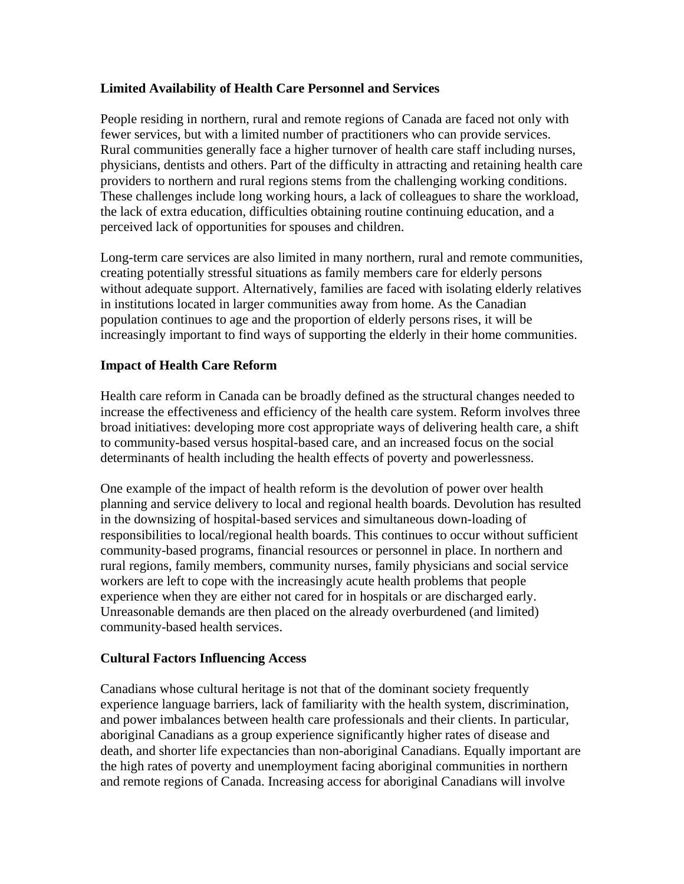## **Limited Availability of Health Care Personnel and Services**

People residing in northern, rural and remote regions of Canada are faced not only with fewer services, but with a limited number of practitioners who can provide services. Rural communities generally face a higher turnover of health care staff including nurses, physicians, dentists and others. Part of the difficulty in attracting and retaining health care providers to northern and rural regions stems from the challenging working conditions. These challenges include long working hours, a lack of colleagues to share the workload, the lack of extra education, difficulties obtaining routine continuing education, and a perceived lack of opportunities for spouses and children.

Long-term care services are also limited in many northern, rural and remote communities, creating potentially stressful situations as family members care for elderly persons without adequate support. Alternatively, families are faced with isolating elderly relatives in institutions located in larger communities away from home. As the Canadian population continues to age and the proportion of elderly persons rises, it will be increasingly important to find ways of supporting the elderly in their home communities.

### **Impact of Health Care Reform**

Health care reform in Canada can be broadly defined as the structural changes needed to increase the effectiveness and efficiency of the health care system. Reform involves three broad initiatives: developing more cost appropriate ways of delivering health care, a shift to community-based versus hospital-based care, and an increased focus on the social determinants of health including the health effects of poverty and powerlessness.

One example of the impact of health reform is the devolution of power over health planning and service delivery to local and regional health boards. Devolution has resulted in the downsizing of hospital-based services and simultaneous down-loading of responsibilities to local/regional health boards. This continues to occur without sufficient community-based programs, financial resources or personnel in place. In northern and rural regions, family members, community nurses, family physicians and social service workers are left to cope with the increasingly acute health problems that people experience when they are either not cared for in hospitals or are discharged early. Unreasonable demands are then placed on the already overburdened (and limited) community-based health services.

#### **Cultural Factors Influencing Access**

Canadians whose cultural heritage is not that of the dominant society frequently experience language barriers, lack of familiarity with the health system, discrimination, and power imbalances between health care professionals and their clients. In particular, aboriginal Canadians as a group experience significantly higher rates of disease and death, and shorter life expectancies than non-aboriginal Canadians. Equally important are the high rates of poverty and unemployment facing aboriginal communities in northern and remote regions of Canada. Increasing access for aboriginal Canadians will involve